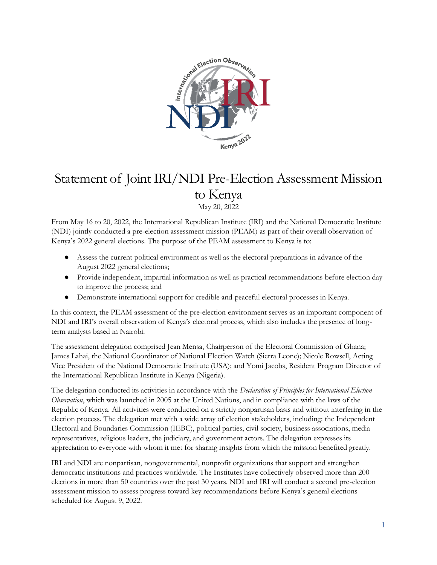

# Statement of Joint IRI/NDI Pre-Election Assessment Mission to Kenya

May 20, 2022

From May 16 to 20, 2022, the International Republican Institute (IRI) and the National Democratic Institute (NDI) jointly conducted a pre-election assessment mission (PEAM) as part of their overall observation of Kenya's 2022 general elections. The purpose of the PEAM assessment to Kenya is to:

- Assess the current political environment as well as the electoral preparations in advance of the August 2022 general elections;
- Provide independent, impartial information as well as practical recommendations before election day to improve the process; and
- Demonstrate international support for credible and peaceful electoral processes in Kenya.

In this context, the PEAM assessment of the pre-election environment serves as an important component of NDI and IRI's overall observation of Kenya's electoral process, which also includes the presence of longterm analysts based in Nairobi.

The assessment delegation comprised Jean Mensa, Chairperson of the Electoral Commission of Ghana; James Lahai, the National Coordinator of National Election Watch (Sierra Leone); Nicole Rowsell, Acting Vice President of the National Democratic Institute (USA); and Yomi Jacobs, Resident Program Director of the International Republican Institute in Kenya (Nigeria).

The delegation conducted its activities in accordance with the *Declaration of Principles for International Election Observation*, which was launched in 2005 at the United Nations, and in compliance with the laws of the Republic of Kenya. All activities were conducted on a strictly nonpartisan basis and without interfering in the election process. The delegation met with a wide array of election stakeholders, including: the Independent Electoral and Boundaries Commission (IEBC), political parties, civil society, business associations, media representatives, religious leaders, the judiciary, and government actors. The delegation expresses its appreciation to everyone with whom it met for sharing insights from which the mission benefited greatly.

IRI and NDI are nonpartisan, nongovernmental, nonprofit organizations that support and strengthen democratic institutions and practices worldwide. The Institutes have collectively observed more than 200 elections in more than 50 countries over the past 30 years. NDI and IRI will conduct a second pre-election assessment mission to assess progress toward key recommendations before Kenya's general elections scheduled for August 9, 2022.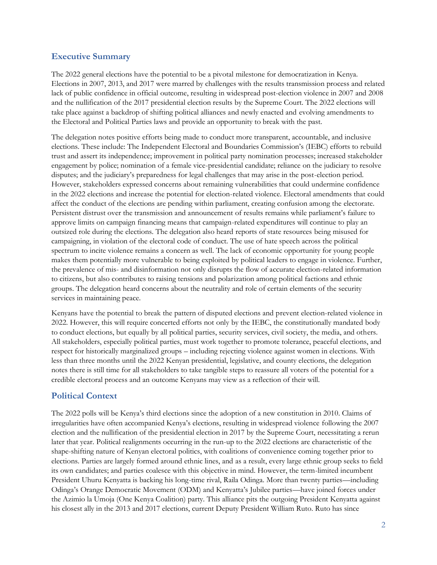# **Executive Summary**

The 2022 general elections have the potential to be a pivotal milestone for democratization in Kenya. Elections in 2007, 2013, and 2017 were marred by challenges with the results transmission process and related lack of public confidence in official outcome, resulting in widespread post-election violence in 2007 and 2008 and the nullification of the 2017 presidential election results by the Supreme Court. The 2022 elections will take place against a backdrop of shifting political alliances and newly enacted and evolving amendments to the Electoral and Political Parties laws and provide an opportunity to break with the past.

The delegation notes positive efforts being made to conduct more transparent, accountable, and inclusive elections. These include: The Independent Electoral and Boundaries Commission's (IEBC) efforts to rebuild trust and assert its independence; improvement in political party nomination processes; increased stakeholder engagement by police; nomination of a female vice-presidential candidate; reliance on the judiciary to resolve disputes; and the judiciary's preparedness for legal challenges that may arise in the post-election period. However, stakeholders expressed concerns about remaining vulnerabilities that could undermine confidence in the 2022 elections and increase the potential for election-related violence. Electoral amendments that could affect the conduct of the elections are pending within parliament, creating confusion among the electorate. Persistent distrust over the transmission and announcement of results remains while parliament's failure to approve limits on campaign financing means that campaign-related expenditures will continue to play an outsized role during the elections. The delegation also heard reports of state resources being misused for campaigning, in violation of the electoral code of conduct. The use of hate speech across the political spectrum to incite violence remains a concern as well. The lack of economic opportunity for young people makes them potentially more vulnerable to being exploited by political leaders to engage in violence. Further, the prevalence of mis- and disinformation not only disrupts the flow of accurate election-related information to citizens, but also contributes to raising tensions and polarization among political factions and ethnic groups. The delegation heard concerns about the neutrality and role of certain elements of the security services in maintaining peace.

Kenyans have the potential to break the pattern of disputed elections and prevent election-related violence in 2022. However, this will require concerted efforts not only by the IEBC, the constitutionally mandated body to conduct elections, but equally by all political parties, security services, civil society, the media, and others. All stakeholders, especially political parties, must work together to promote tolerance, peaceful elections, and respect for historically marginalized groups – including rejecting violence against women in elections. With less than three months until the 2022 Kenyan presidential, legislative, and county elections, the delegation notes there is still time for all stakeholders to take tangible steps to reassure all voters of the potential for a credible electoral process and an outcome Kenyans may view as a reflection of their will.

# **Political Context**

The 2022 polls will be Kenya's third elections since the adoption of a new constitution in 2010. Claims of irregularities have often accompanied Kenya's elections, resulting in widespread violence following the 2007 election and the nullification of the presidential election in 2017 by the Supreme Court, necessitating a rerun later that year. Political realignments occurring in the run-up to the 2022 elections are characteristic of the shape-shifting nature of Kenyan electoral politics, with coalitions of convenience coming together prior to elections. Parties are largely formed around ethnic lines, and as a result, every large ethnic group seeks to field its own candidates; and parties coalesce with this objective in mind. However, the term-limited incumbent President Uhuru Kenyatta is backing his long-time rival, Raila Odinga. More than twenty parties—including Odinga's Orange Democratic Movement (ODM) and Kenyatta's Jubilee parties—have joined forces under the Azimio la Umoja (One Kenya Coalition) party. This alliance pits the outgoing President Kenyatta against his closest ally in the 2013 and 2017 elections, current Deputy President William Ruto. Ruto has since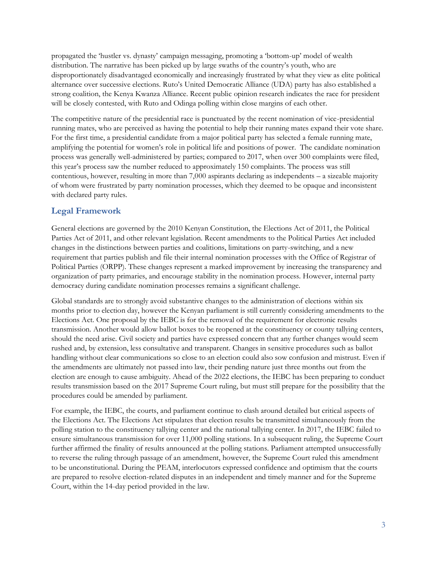propagated the 'hustler vs. dynasty' campaign messaging, promoting a 'bottom-up' model of wealth distribution. The narrative has been picked up by large swaths of the country's youth, who are disproportionately disadvantaged economically and increasingly frustrated by what they view as elite political alternance over successive elections. Ruto's United Democratic Alliance (UDA) party has also established a strong coalition, the Kenya Kwanza Alliance. Recent public opinion research indicates the race for president will be closely contested, with Ruto and Odinga polling within close margins of each other.

The competitive nature of the presidential race is punctuated by the recent nomination of vice-presidential running mates, who are perceived as having the potential to help their running mates expand their vote share. For the first time, a presidential candidate from a major political party has selected a female running mate, amplifying the potential for women's role in political life and positions of power. The candidate nomination process was generally well-administered by parties; compared to 2017, when over 300 complaints were filed, this year's process saw the number reduced to approximately 150 complaints. The process was still contentious, however, resulting in more than 7,000 aspirants declaring as independents – a sizeable majority of whom were frustrated by party nomination processes, which they deemed to be opaque and inconsistent with declared party rules.

# **Legal Framework**

General elections are governed by the 2010 Kenyan Constitution, the Elections Act of 2011, the Political Parties Act of 2011, and other relevant legislation. Recent amendments to the Political Parties Act included changes in the distinctions between parties and coalitions, limitations on party-switching, and a new requirement that parties publish and file their internal nomination processes with the Office of Registrar of Political Parties (ORPP). These changes represent a marked improvement by increasing the transparency and organization of party primaries, and encourage stability in the nomination process. However, internal party democracy during candidate nomination processes remains a significant challenge.

Global standards are to strongly avoid substantive changes to the administration of elections within six months prior to election day, however the Kenyan parliament is still currently considering amendments to the Elections Act. One proposal by the IEBC is for the removal of the requirement for electronic results transmission. Another would allow ballot boxes to be reopened at the constituency or county tallying centers, should the need arise. Civil society and parties have expressed concern that any further changes would seem rushed and, by extension, less consultative and transparent. Changes in sensitive procedures such as ballot handling without clear communications so close to an election could also sow confusion and mistrust. Even if the amendments are ultimately not passed into law, their pending nature just three months out from the election are enough to cause ambiguity. Ahead of the 2022 elections, the IEBC has been preparing to conduct results transmission based on the 2017 Supreme Court ruling, but must still prepare for the possibility that the procedures could be amended by parliament.

For example, the IEBC, the courts, and parliament continue to clash around detailed but critical aspects of the Elections Act. The Elections Act stipulates that election results be transmitted simultaneously from the polling station to the constituency tallying center and the national tallying center. In 2017, the IEBC failed to ensure simultaneous transmission for over 11,000 polling stations. In a subsequent ruling, the Supreme Court further affirmed the finality of results announced at the polling stations. Parliament attempted unsuccessfully to reverse the ruling through passage of an amendment, however, the Supreme Court ruled this amendment to be unconstitutional. During the PEAM, interlocutors expressed confidence and optimism that the courts are prepared to resolve election-related disputes in an independent and timely manner and for the Supreme Court, within the 14-day period provided in the law.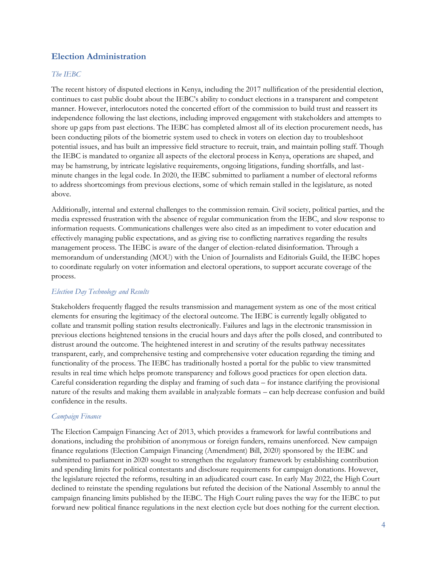# **Election Administration**

#### *The IEBC*

The recent history of disputed elections in Kenya, including the 2017 nullification of the presidential election, continues to cast public doubt about the IEBC's ability to conduct elections in a transparent and competent manner. However, interlocutors noted the concerted effort of the commission to build trust and reassert its independence following the last elections, including improved engagement with stakeholders and attempts to shore up gaps from past elections. The IEBC has completed almost all of its election procurement needs, has been conducting pilots of the biometric system used to check in voters on election day to troubleshoot potential issues, and has built an impressive field structure to recruit, train, and maintain polling staff. Though the IEBC is mandated to organize all aspects of the electoral process in Kenya, operations are shaped, and may be hamstrung, by intricate legislative requirements, ongoing litigations, funding shortfalls, and lastminute changes in the legal code. In 2020, the IEBC submitted to parliament a number of electoral reforms to address shortcomings from previous elections, some of which remain stalled in the legislature, as noted above.

Additionally, internal and external challenges to the commission remain. Civil society, political parties, and the media expressed frustration with the absence of regular communication from the IEBC, and slow response to information requests. Communications challenges were also cited as an impediment to voter education and effectively managing public expectations, and as giving rise to conflicting narratives regarding the results management process. The IEBC is aware of the danger of election-related disinformation. Through a memorandum of understanding (MOU) with the Union of Journalists and Editorials Guild, the IEBC hopes to coordinate regularly on voter information and electoral operations, to support accurate coverage of the process.

#### *Election Day Technology and Results*

Stakeholders frequently flagged the results transmission and management system as one of the most critical elements for ensuring the legitimacy of the electoral outcome. The IEBC is currently legally obligated to collate and transmit polling station results electronically. Failures and lags in the electronic transmission in previous elections heightened tensions in the crucial hours and days after the polls closed, and contributed to distrust around the outcome. The heightened interest in and scrutiny of the results pathway necessitates transparent, early, and comprehensive testing and comprehensive voter education regarding the timing and functionality of the process. The IEBC has traditionally hosted a portal for the public to view transmitted results in real time which helps promote transparency and follows good practices for open election data. Careful consideration regarding the display and framing of such data – for instance clarifying the provisional nature of the results and making them available in analyzable formats – can help decrease confusion and build confidence in the results.

#### *Campaign Finance*

The Election Campaign Financing Act of 2013, which provides a framework for lawful contributions and donations, including the prohibition of anonymous or foreign funders, remains unenforced. New campaign finance regulations (Election Campaign Financing (Amendment) Bill, 2020) sponsored by the IEBC and submitted to parliament in 2020 sought to strengthen the regulatory framework by establishing contribution and spending limits for political contestants and disclosure requirements for campaign donations. However, the legislature rejected the reforms, resulting in an adjudicated court case. In early May 2022, the High Court declined to reinstate the spending regulations but refuted the decision of the National Assembly to annul the campaign financing limits published by the IEBC. The High Court ruling paves the way for the IEBC to put forward new political finance regulations in the next election cycle but does nothing for the current election.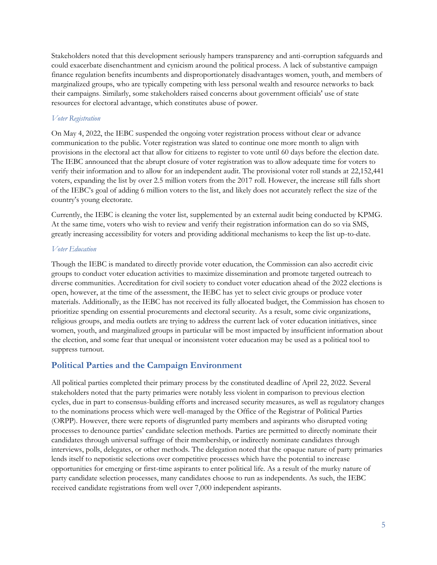Stakeholders noted that this development seriously hampers transparency and anti-corruption safeguards and could exacerbate disenchantment and cynicism around the political process. A lack of substantive campaign finance regulation benefits incumbents and disproportionately disadvantages women, youth, and members of marginalized groups, who are typically competing with less personal wealth and resource networks to back their campaigns. Similarly, some stakeholders raised concerns about government officials' use of state resources for electoral advantage, which constitutes abuse of power.

#### *Voter Registration*

On May 4, 2022, the IEBC suspended the ongoing voter registration process without clear or advance communication to the public. Voter registration was slated to continue one more month to align with provisions in the electoral act that allow for citizens to register to vote until 60 days before the election date. The IEBC announced that the abrupt closure of voter registration was to allow adequate time for voters to verify their information and to allow for an independent audit. The provisional voter roll stands at 22,152,441 voters, expanding the list by over 2.5 million voters from the 2017 roll. However, the increase still falls short of the IEBC's goal of adding 6 million voters to the list, and likely does not accurately reflect the size of the country's young electorate.

Currently, the IEBC is cleaning the voter list, supplemented by an external audit being conducted by KPMG. At the same time, voters who wish to review and verify their registration information can do so via SMS, greatly increasing accessibility for voters and providing additional mechanisms to keep the list up-to-date.

#### *Voter Education*

Though the IEBC is mandated to directly provide voter education, the Commission can also accredit civic groups to conduct voter education activities to maximize dissemination and promote targeted outreach to diverse communities. Accreditation for civil society to conduct voter education ahead of the 2022 elections is open, however, at the time of the assessment, the IEBC has yet to select civic groups or produce voter materials. Additionally, as the IEBC has not received its fully allocated budget, the Commission has chosen to prioritize spending on essential procurements and electoral security. As a result, some civic organizations, religious groups, and media outlets are trying to address the current lack of voter education initiatives, since women, youth, and marginalized groups in particular will be most impacted by insufficient information about the election, and some fear that unequal or inconsistent voter education may be used as a political tool to suppress turnout.

## **Political Parties and the Campaign Environment**

All political parties completed their primary process by the constituted deadline of April 22, 2022. Several stakeholders noted that the party primaries were notably less violent in comparison to previous election cycles, due in part to consensus-building efforts and increased security measures, as well as regulatory changes to the nominations process which were well-managed by the Office of the Registrar of Political Parties (ORPP). However, there were reports of disgruntled party members and aspirants who disrupted voting processes to denounce parties' candidate selection methods. Parties are permitted to directly nominate their candidates through universal suffrage of their membership, or indirectly nominate candidates through interviews, polls, delegates, or other methods. The delegation noted that the opaque nature of party primaries lends itself to nepotistic selections over competitive processes which have the potential to increase opportunities for emerging or first-time aspirants to enter political life. As a result of the murky nature of party candidate selection processes, many candidates choose to run as independents. As such, the IEBC received candidate registrations from well over 7,000 independent aspirants.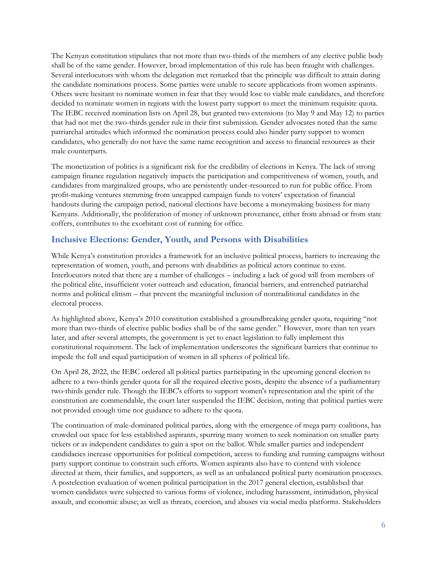The Kenyan constitution stipulates that not more than two-thirds of the members of any elective public body shall be of the same gender. However, broad implementation of this rule has been fraught with challenges. Several interlocutors with whom the delegation met remarked that the principle was difficult to attain during the candidate nominations process. Some parties were unable to secure applications from women aspirants. Others were hesitant to nominate women in fear that they would lose to viable male candidates, and therefore decided to nominate women in regions with the lowest party support to meet the minimum requisite quota. The IEBC received nomination lists on April 28, but granted two extensions (to May 9 and May 12) to parties that had not met the two-thirds gender rule in their first submission. Gender advocates noted that the same patriarchal attitudes which informed the nomination process could also hinder party support to women candidates, who generally do not have the same name recognition and access to financial resources as their male counterparts.

The monetization of politics is a significant risk for the credibility of elections in Kenya. The lack of strong campaign finance regulation negatively impacts the participation and competitiveness of women, youth, and candidates from marginalized groups, who are persistently under-resourced to run for public office. From profit-making ventures stemming from uncapped campaign funds to voters' expectation of financial handouts during the campaign period, national elections have become a moneymaking business for many Kenyans. Additionally, the proliferation of money of unknown provenance, either from abroad or from state coffers, contributes to the exorbitant cost of running for office.

# **Inclusive Elections: Gender, Youth, and Persons with Disabilities**

While Kenya's constitution provides a framework for an inclusive political process, barriers to increasing the representation of women, youth, and persons with disabilities as political actors continue to exist. Interlocutors noted that there are a number of challenges – including a lack of good will from members of the political elite, insufficient voter outreach and education, financial barriers, and entrenched patriarchal norms and political elitism – that prevent the meaningful inclusion of nontraditional candidates in the electoral process.

As highlighted above, Kenya's 2010 constitution established a groundbreaking gender quota, requiring "not more than two-thirds of elective public bodies shall be of the same gender." However, more than ten years later, and after several attempts, the government is yet to enact legislation to fully implement this constitutional requirement. The lack of implementation underscores the significant barriers that continue to impede the full and equal participation of women in all spheres of political life.

On April 28, 2022, the IEBC ordered all political parties participating in the upcoming general election to adhere to a two-thirds gender quota for all the required elective posts, despite the absence of a parliamentary two-thirds gender rule. Though the IEBC's efforts to support women's representation and the spirit of the constitution are commendable, the court later suspended the IEBC decision, noting that political parties were not provided enough time nor guidance to adhere to the quota.

The continuation of male-dominated political parties, along with the emergence of mega party coalitions, has crowded out space for less established aspirants, spurring many women to seek nomination on smaller party tickets or as independent candidates to gain a spot on the ballot. While smaller parties and independent candidacies increase opportunities for political competition, access to funding and running campaigns without party support continue to constrain such efforts. Women aspirants also have to contend with violence directed at them, their families, and supporters, as well as an unbalanced political party nomination processes. A postelection evaluation of women political participation in the 2017 general election, established that women candidates were subjected to various forms of violence, including harassment, intimidation, physical assault, and economic abuse; as well as threats, coercion, and abuses via social media platforms. Stakeholders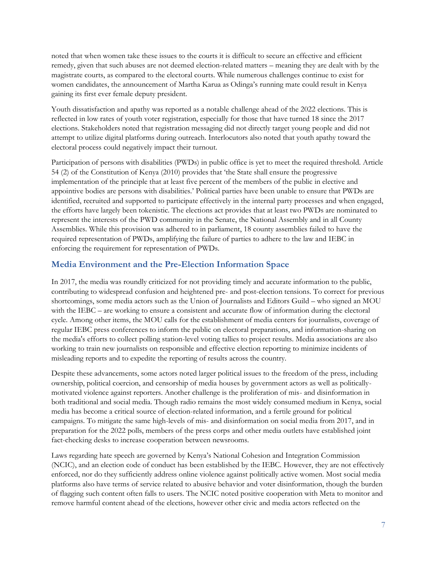noted that when women take these issues to the courts it is difficult to secure an effective and efficient remedy, given that such abuses are not deemed election-related matters – meaning they are dealt with by the magistrate courts, as compared to the electoral courts. While numerous challenges continue to exist for women candidates, the announcement of Martha Karua as Odinga's running mate could result in Kenya gaining its first ever female deputy president.

Youth dissatisfaction and apathy was reported as a notable challenge ahead of the 2022 elections. This is reflected in low rates of youth voter registration, especially for those that have turned 18 since the 2017 elections. Stakeholders noted that registration messaging did not directly target young people and did not attempt to utilize digital platforms during outreach. Interlocutors also noted that youth apathy toward the electoral process could negatively impact their turnout.

Participation of persons with disabilities (PWDs) in public office is yet to meet the required threshold. Article 54 (2) of the Constitution of Kenya (2010) provides that 'the State shall ensure the progressive implementation of the principle that at least five percent of the members of the public in elective and appointive bodies are persons with disabilities.' Political parties have been unable to ensure that PWDs are identified, recruited and supported to participate effectively in the internal party processes and when engaged, the efforts have largely been tokenistic. The elections act provides that at least two PWDs are nominated to represent the interests of the PWD community in the Senate, the National Assembly and in all County Assemblies. While this provision was adhered to in parliament, 18 county assemblies failed to have the required representation of PWDs, amplifying the failure of parties to adhere to the law and IEBC in enforcing the requirement for representation of PWDs.

# **Media Environment and the Pre-Election Information Space**

In 2017, the media was roundly criticized for not providing timely and accurate information to the public, contributing to widespread confusion and heightened pre- and post-election tensions. To correct for previous shortcomings, some media actors such as the Union of Journalists and Editors Guild – who signed an MOU with the IEBC – are working to ensure a consistent and accurate flow of information during the electoral cycle. Among other items, the MOU calls for the establishment of media centers for journalists, coverage of regular IEBC press conferences to inform the public on electoral preparations, and information-sharing on the media's efforts to collect polling station-level voting tallies to project results. Media associations are also working to train new journalists on responsible and effective election reporting to minimize incidents of misleading reports and to expedite the reporting of results across the country.

Despite these advancements, some actors noted larger political issues to the freedom of the press, including ownership, political coercion, and censorship of media houses by government actors as well as politicallymotivated violence against reporters. Another challenge is the proliferation of mis- and disinformation in both traditional and social media. Though radio remains the most widely consumed medium in Kenya, social media has become a critical source of election-related information, and a fertile ground for political campaigns. To mitigate the same high-levels of mis- and disinformation on social media from 2017, and in preparation for the 2022 polls, members of the press corps and other media outlets have established joint fact-checking desks to increase cooperation between newsrooms.

Laws regarding hate speech are governed by Kenya's National Cohesion and Integration Commission (NCIC), and an election code of conduct has been established by the IEBC. However, they are not effectively enforced, nor do they sufficiently address online violence against politically active women. Most social media platforms also have terms of service related to abusive behavior and voter disinformation, though the burden of flagging such content often falls to users. The NCIC noted positive cooperation with Meta to monitor and remove harmful content ahead of the elections, however other civic and media actors reflected on the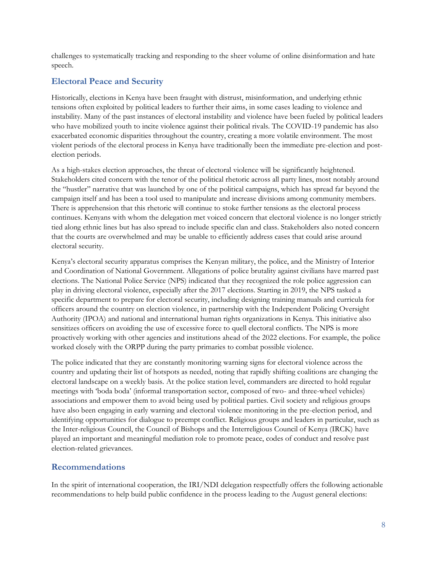challenges to systematically tracking and responding to the sheer volume of online disinformation and hate speech.

# **Electoral Peace and Security**

Historically, elections in Kenya have been fraught with distrust, misinformation, and underlying ethnic tensions often exploited by political leaders to further their aims, in some cases leading to violence and instability. Many of the past instances of electoral instability and violence have been fueled by political leaders who have mobilized youth to incite violence against their political rivals. The COVID-19 pandemic has also exacerbated economic disparities throughout the country, creating a more volatile environment. The most violent periods of the electoral process in Kenya have traditionally been the immediate pre-election and postelection periods.

As a high-stakes election approaches, the threat of electoral violence will be significantly heightened. Stakeholders cited concern with the tenor of the political rhetoric across all party lines, most notably around the "hustler" narrative that was launched by one of the political campaigns, which has spread far beyond the campaign itself and has been a tool used to manipulate and increase divisions among community members. There is apprehension that this rhetoric will continue to stoke further tensions as the electoral process continues. Kenyans with whom the delegation met voiced concern that electoral violence is no longer strictly tied along ethnic lines but has also spread to include specific clan and class. Stakeholders also noted concern that the courts are overwhelmed and may be unable to efficiently address cases that could arise around electoral security.

Kenya's electoral security apparatus comprises the Kenyan military, the police, and the Ministry of Interior and Coordination of National Government. Allegations of police brutality against civilians have marred past elections. The National Police Service (NPS) indicated that they recognized the role police aggression can play in driving electoral violence, especially after the 2017 elections. Starting in 2019, the NPS tasked a specific department to prepare for electoral security, including designing training manuals and curricula for officers around the country on election violence, in partnership with the Independent Policing Oversight Authority (IPOA) and national and international human rights organizations in Kenya. This initiative also sensitizes officers on avoiding the use of excessive force to quell electoral conflicts. The NPS is more proactively working with other agencies and institutions ahead of the 2022 elections. For example, the police worked closely with the ORPP during the party primaries to combat possible violence.

The police indicated that they are constantly monitoring warning signs for electoral violence across the country and updating their list of hotspots as needed, noting that rapidly shifting coalitions are changing the electoral landscape on a weekly basis. At the police station level, commanders are directed to hold regular meetings with 'boda boda' (informal transportation sector, composed of two- and three-wheel vehicles) associations and empower them to avoid being used by political parties. Civil society and religious groups have also been engaging in early warning and electoral violence monitoring in the pre-election period, and identifying opportunities for dialogue to preempt conflict. Religious groups and leaders in particular, such as the Inter-religious Council, the Council of Bishops and the Interreligious Council of Kenya (IRCK) have played an important and meaningful mediation role to promote peace, codes of conduct and resolve past election-related grievances.

# **Recommendations**

In the spirit of international cooperation, the IRI/NDI delegation respectfully offers the following actionable recommendations to help build public confidence in the process leading to the August general elections: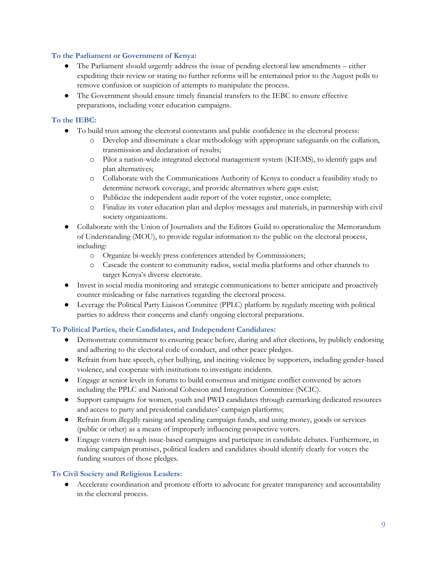#### **To the Parliament or Government of Kenya:**

- The Parliament should urgently address the issue of pending electoral law amendments either expediting their review or stating no further reforms will be entertained prior to the August polls to remove confusion or suspicion of attempts to manipulate the process.
- The Government should ensure timely financial transfers to the IEBC to ensure effective preparations, including voter education campaigns.

## **To the IEBC:**

- To build trust among the electoral contestants and public confidence in the electoral process:
	- o Develop and disseminate a clear methodology with appropriate safeguards on the collation, transmission and declaration of results;
	- o Pilot a nation-wide integrated electoral management system (KIEMS), to identify gaps and plan alternatives;
	- o Collaborate with the Communications Authority of Kenya to conduct a feasibility study to determine network coverage, and provide alternatives where gaps exist;
	- o Publicize the independent audit report of the voter register, once complete;
	- o Finalize its voter education plan and deploy messages and materials, in partnership with civil society organizations.
- Collaborate with the Union of Journalists and the Editors Guild to operationalize the Memorandum of Understanding (MOU), to provide regular information to the public on the electoral process, including:
	- o Organize bi-weekly press conferences attended by Commissioners;
	- o Cascade the content to community radios, social media platforms and other channels to target Kenya's diverse electorate.
- Invest in social media monitoring and strategic communications to better anticipate and proactively counter misleading or false narratives regarding the electoral process.
- Leverage the Political Party Liaison Commitee (PPLC) platform by regularly meeting with political parties to address their concerns and clarify ongoing electoral preparations.

## **To Political Parties, their Candidates, and Independent Candidates:**

- Demonstrate commitment to ensuring peace before, during and after elections, by publicly endorsing and adhering to the electoral code of conduct, and other peace pledges.
- Refrain from hate speech, cyber bullying, and inciting violence by supporters, including gender-based violence, and cooperate with institutions to investigate incidents.
- Engage at senior levels in forums to build consensus and mitigate conflict convened by actors including the PPLC and National Cohesion and Integration Committee (NCIC).
- Support campaigns for women, youth and PWD candidates through earmarking dedicated resources and access to party and presidential candidates' campaign platforms;
- Refrain from illegally raising and spending campaign funds, and using money, goods or services (public or other) as a means of improperly influencing prospective voters.
- Engage voters through issue-based campaigns and participate in candidate debates. Furthermore, in making campaign promises, political leaders and candidates should identify clearly for voters the funding sources of those pledges.

## **To Civil Society and Religious Leaders:**

● Accelerate coordination and promote efforts to advocate for greater transparency and accountability in the electoral process.